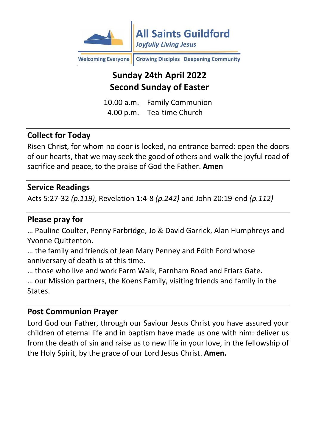

Growing Disciples Deepening Community **Welcoming Everyone** 

# **Sunday 24th April 2022 Second Sunday of Easter**

10.00 a.m. Family Communion 4.00 p.m. Tea-time Church

#### **Collect for Today**

Risen Christ, for whom no door is locked, no entrance barred: open the doors of our hearts, that we may seek the good of others and walk the joyful road of sacrifice and peace, to the praise of God the Father. **Amen**

#### **Service Readings**

Acts 5:27-32 *(p.119)*, Revelation 1:4-8 *(p.242)* and John 20:19-end *(p.112)*

#### **Please pray for**

… Pauline Coulter, Penny Farbridge, Jo & David Garrick, Alan Humphreys and Yvonne Quittenton.

… the family and friends of Jean Mary Penney and Edith Ford whose anniversary of death is at this time.

… those who live and work Farm Walk, Farnham Road and Friars Gate. … our Mission partners, the Koens Family, visiting friends and family in the States.

#### **Post Communion Prayer**

Lord God our Father, through our Saviour Jesus Christ you have assured your children of eternal life and in baptism have made us one with him: deliver us from the death of sin and raise us to new life in your love, in the fellowship of the Holy Spirit, by the grace of our Lord Jesus Christ. **Amen.**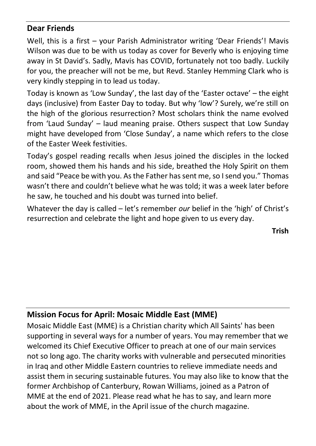#### **Dear Friends**

Well, this is a first – your Parish Administrator writing 'Dear Friends'! Mavis Wilson was due to be with us today as cover for Beverly who is enjoying time away in St David's. Sadly, Mavis has COVID, fortunately not too badly. Luckily for you, the preacher will not be me, but Revd. Stanley Hemming Clark who is very kindly stepping in to lead us today.

Today is known as 'Low Sunday', the last day of the 'Easter octave' – the eight days (inclusive) from Easter Day to today. But why 'low'? Surely, we're still on the high of the glorious resurrection? Most scholars think the name evolved from 'Laud Sunday' – laud meaning praise. Others suspect that Low Sunday might have developed from 'Close Sunday', a name which refers to the close of the Easter Week festivities.

Today's gospel reading recalls when Jesus joined the disciples in the locked room, showed them his hands and his side, breathed the Holy Spirit on them and said "Peace be with you. As the Father has sent me, so I send you." Thomas wasn't there and couldn't believe what he was told; it was a week later before he saw, he touched and his doubt was turned into belief.

Whatever the day is called – let's remember *our* belief in the 'high' of Christ's resurrection and celebrate the light and hope given to us every day.

**Trish**

#### **Mission Focus for April: Mosaic Middle East (MME)**

Mosaic Middle East (MME) is a Christian charity which All Saints' has been supporting in several ways for a number of years. You may remember that we welcomed its Chief Executive Officer to preach at one of our main services not so long ago. The charity works with vulnerable and persecuted minorities in Iraq and other Middle Eastern countries to relieve immediate needs and assist them in securing sustainable futures. You may also like to know that the former Archbishop of Canterbury, Rowan Williams, joined as a Patron of MME at the end of 2021. Please read what he has to say, and learn more about the work of MME, in the April issue of the church magazine.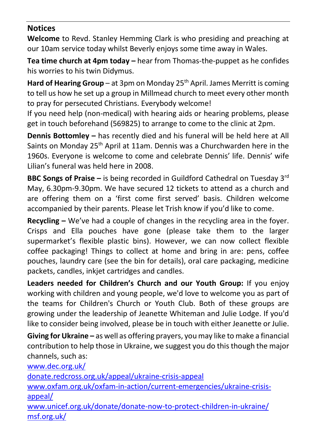#### **Notices**

**Welcome** to Revd. Stanley Hemming Clark is who presiding and preaching at our 10am service today whilst Beverly enjoys some time away in Wales.

**Tea time church at 4pm today –** hear from Thomas-the-puppet as he confides his worries to his twin Didymus.

**Hard of Hearing Group** – at 3pm on Monday 25<sup>th</sup> April. James Merritt is coming to tell us how he set up a group in Millmead church to meet every other month to pray for persecuted Christians. Everybody welcome!

If you need help (non-medical) with hearing aids or hearing problems, please get in touch beforehand (569825) to arrange to come to the clinic at 2pm.

**Dennis Bottomley –** has recently died and his funeral will be held here at All Saints on Monday 25<sup>th</sup> April at 11am. Dennis was a Churchwarden here in the 1960s. Everyone is welcome to come and celebrate Dennis' life. Dennis' wife Lilian's funeral was held here in 2008.

**BBC Songs of Praise –** is being recorded in Guildford Cathedral on Tuesday 3rd May, 6.30pm-9.30pm. We have secured 12 tickets to attend as a church and are offering them on a 'first come first served' basis. Children welcome accompanied by their parents. Please let Trish know if you'd like to come.

**Recycling –** We've had a couple of changes in the recycling area in the foyer. Crisps and Ella pouches have gone (please take them to the larger supermarket's flexible plastic bins). However, we can now collect flexible coffee packaging! Things to collect at home and bring in are: pens, coffee pouches, laundry care (see the bin for details), oral care packaging, medicine packets, candles, inkjet cartridges and candles.

**Leaders needed for Children's Church and our Youth Group:** If you enjoy working with children and young people, we'd love to welcome you as part of the teams for Children's Church or Youth Club. Both of these groups are growing under the leadership of Jeanette Whiteman and Julie Lodge. If you'd like to consider being involved, please be in touch with either Jeanette or Julie.

**Giving for Ukraine –** as well as offering prayers, you may like to make a financial contribution to help those in Ukraine, we suggest you do this though the major channels, such as:

[www.dec.org.uk/](http://www.dec.org.uk/)

[donate.redcross.org.uk/appeal/ukraine-crisis-appeal](https://donate.redcross.org.uk/appeal/ukraine-crisis-appeal)

[www.oxfam.org.uk/oxfam-in-action/current-emergencies/ukraine-crisis](http://www.oxfam.org.uk/oxfam-in-action/current-emergencies/ukraine-crisis-appeal/)[appeal/](http://www.oxfam.org.uk/oxfam-in-action/current-emergencies/ukraine-crisis-appeal/)

[www.unicef.org.uk/donate/donate-now-to-protect-children-in-ukraine/](http://www.unicef.org.uk/donate/donate-now-to-protect-children-in-ukraine/) [msf.org.uk/](https://msf.org.uk/)